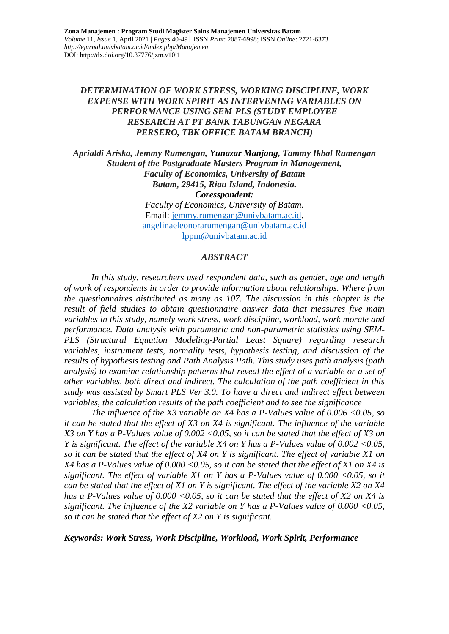### *DETERMINATION OF WORK STRESS, WORKING DISCIPLINE, WORK EXPENSE WITH WORK SPIRIT AS INTERVENING VARIABLES ON PERFORMANCE USING SEM-PLS (STUDY EMPLOYEE RESEARCH AT PT BANK TABUNGAN NEGARA PERSERO, TBK OFFICE BATAM BRANCH)*

*Aprialdi Ariska, Jemmy Rumengan, Yunazar Manjang, Tammy Ikbal Rumengan Student of the Postgraduate Masters Program in Management, Faculty of Economics, University of Batam Batam, 29415, Riau Island, Indonesia. Coresspondent: Faculty of Economics, University of Batam.* Email: [jemmy.rumengan@univbatam.ac.id.](mailto:jemmy.rumengan@univbatam.ac.id) [angelinaeleonorarumengan@univbatam.ac.id](mailto:angelinaeleonorarumengan@univbatam.ac.id) [lppm@univbatam.ac.id](mailto:lppm@univbatam.ac.id)

#### *ABSTRACT*

*In this study, researchers used respondent data, such as gender, age and length of work of respondents in order to provide information about relationships. Where from the questionnaires distributed as many as 107. The discussion in this chapter is the result of field studies to obtain questionnaire answer data that measures five main variables in this study, namely work stress, work discipline, workload, work morale and performance. Data analysis with parametric and non-parametric statistics using SEM-PLS (Structural Equation Modeling-Partial Least Square) regarding research variables, instrument tests, normality tests, hypothesis testing, and discussion of the results of hypothesis testing and Path Analysis Path. This study uses path analysis (path analysis) to examine relationship patterns that reveal the effect of a variable or a set of other variables, both direct and indirect. The calculation of the path coefficient in this study was assisted by Smart PLS Ver 3.0. To have a direct and indirect effect between variables, the calculation results of the path coefficient and to see the significance*

*The influence of the X3 variable on X4 has a P-Values value of 0.006 <0.05, so it can be stated that the effect of X3 on X4 is significant. The influence of the variable X3 on Y has a P-Values value of 0.002 <0.05, so it can be stated that the effect of X3 on Y is significant. The effect of the variable X4 on Y has a P-Values value of 0.002 <0.05, so it can be stated that the effect of X4 on Y is significant. The effect of variable X1 on X4 has a P-Values value of 0.000 <0.05, so it can be stated that the effect of X1 on X4 is significant. The effect of variable X1 on Y has a P-Values value of 0.000 <0.05, so it can be stated that the effect of X1 on Y is significant. The effect of the variable X2 on X4 has a P-Values value of 0.000 <0.05, so it can be stated that the effect of X2 on X4 is significant. The influence of the X2 variable on Y has a P-Values value of 0.000 <0.05, so it can be stated that the effect of X2 on Y is significant.*

*Keywords: Work Stress, Work Discipline, Workload, Work Spirit, Performance*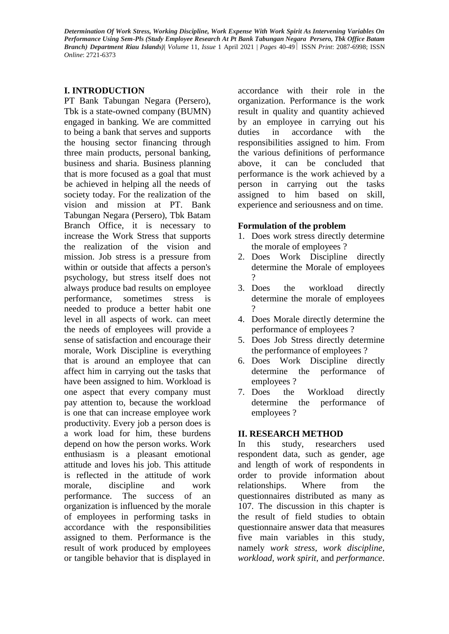# **I. INTRODUCTION**

PT Bank Tabungan Negara (Persero), Tbk is a state-owned company (BUMN) engaged in banking. We are committed to being a bank that serves and supports the housing sector financing through three main products, personal banking, business and sharia. Business planning that is more focused as a goal that must be achieved in helping all the needs of society today. For the realization of the vision and mission at PT. Bank Tabungan Negara (Persero), Tbk Batam Branch Office, it is necessary to increase the Work Stress that supports the realization of the vision and mission. Job stress is a pressure from within or outside that affects a person's psychology, but stress itself does not always produce bad results on employee performance, sometimes stress is needed to produce a better habit one level in all aspects of work. can meet the needs of employees will provide a sense of satisfaction and encourage their morale, Work Discipline is everything that is around an employee that can affect him in carrying out the tasks that have been assigned to him. Workload is one aspect that every company must pay attention to, because the workload is one that can increase employee work productivity. Every job a person does is a work load for him, these burdens depend on how the person works. Work enthusiasm is a pleasant emotional attitude and loves his job. This attitude is reflected in the attitude of work morale, discipline and work performance. The success of an organization is influenced by the morale of employees in performing tasks in accordance with the responsibilities assigned to them. Performance is the result of work produced by employees or tangible behavior that is displayed in

accordance with their role in the organization. Performance is the work result in quality and quantity achieved by an employee in carrying out his duties in accordance with the responsibilities assigned to him. From the various definitions of performance above, it can be concluded that performance is the work achieved by a person in carrying out the tasks assigned to him based on skill, experience and seriousness and on time.

### **Formulation of the problem**

- 1. Does work stress directly determine the morale of employees ?
- 2. Does Work Discipline directly determine the Morale of employees  $\gamma$
- 3. Does the workload directly determine the morale of employees  $\gamma$
- 4. Does Morale directly determine the performance of employees ?
- 5. Does Job Stress directly determine the performance of employees ?
- 6. Does Work Discipline directly determine the performance of employees ?
- 7. Does the Workload directly determine the performance of employees ?

# **II. RESEARCH METHOD**

In this study, researchers used respondent data, such as gender, age and length of work of respondents in order to provide information about relationships. Where from the questionnaires distributed as many as 107. The discussion in this chapter is the result of field studies to obtain questionnaire answer data that measures five main variables in this study, namely *work stress, work discipline, workload, work spirit,* and *performance*.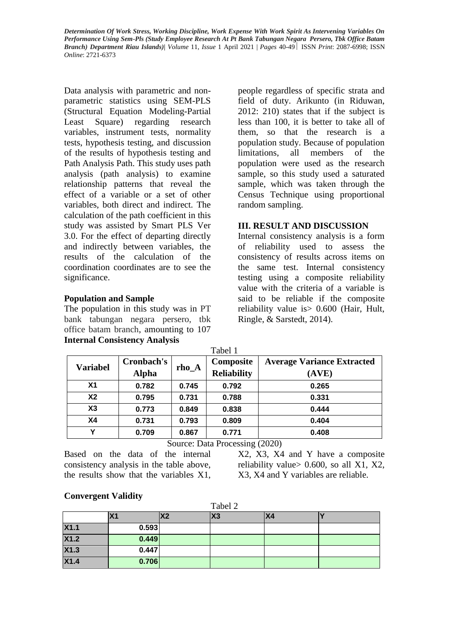Data analysis with parametric and nonparametric statistics using SEM-PLS (Structural Equation Modeling-Partial Least Square) regarding research variables, instrument tests, normality tests, hypothesis testing, and discussion of the results of hypothesis testing and Path Analysis Path. This study uses path analysis (path analysis) to examine relationship patterns that reveal the effect of a variable or a set of other variables, both direct and indirect. The calculation of the path coefficient in this study was assisted by Smart PLS Ver 3.0. For the effect of departing directly and indirectly between variables, the results of the calculation of the coordination coordinates are to see the significance.

### **Population and Sample**

The population in this study was in PT bank tabungan negara persero, tbk office batam branch, amounting to 107 **Internal Consistency Analysis**

people regardless of specific strata and field of duty. Arikunto (in Riduwan, 2012: 210) states that if the subject is less than 100, it is better to take all of them, so that the research is a population study. Because of population limitations, all members of the population were used as the research sample, so this study used a saturated sample, which was taken through the Census Technique using proportional random sampling.

# **III. RESULT AND DISCUSSION**

Internal consistency analysis is a form of reliability used to assess the consistency of results across items on the same test. Internal consistency testing using a composite reliability value with the criteria of a variable is said to be reliable if the composite reliability value is> 0.600 (Hair, Hult, Ringle, & Sarstedt, 2014).

| Tabel 1         |              |         |                    |                                   |  |
|-----------------|--------------|---------|--------------------|-----------------------------------|--|
|                 | Cronbach's   |         | Composite          | <b>Average Variance Extracted</b> |  |
| <b>Variabel</b> | <b>Alpha</b> | $rho_A$ | <b>Reliability</b> | (AVE)                             |  |
| X <sub>1</sub>  | 0.782        | 0.745   | 0.792              | 0.265                             |  |
| X <sub>2</sub>  | 0.795        | 0.731   | 0.788              | 0.331                             |  |
| X3              | 0.773        | 0.849   | 0.838              | 0.444                             |  |
| X4              | 0.731        | 0.793   | 0.809              | 0.404                             |  |
| Υ               | 0.709        | 0.867   | 0.771              | 0.408                             |  |

Source: Data Processing (2020)

Based on the data of the internal consistency analysis in the table above, the results show that the variables X1,

X2, X3, X4 and Y have a composite reliability value  $> 0.600$ , so all X1, X2, X3, X4 and Y variables are reliable.

### **Convergent Validity**

| Tabel 2 |       |           |    |    |  |
|---------|-------|-----------|----|----|--|
|         | Χ1    | <b>X2</b> | X3 | X4 |  |
| X1.1    | 0.593 |           |    |    |  |
| X1.2    | 0.449 |           |    |    |  |
| X1.3    | 0.447 |           |    |    |  |
| X1.4    | 0.706 |           |    |    |  |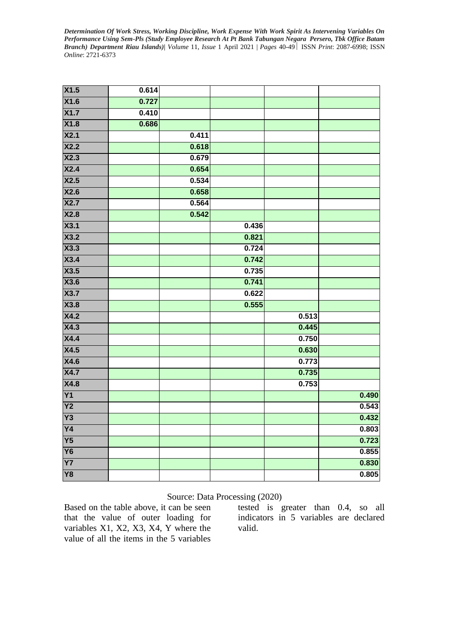| X1.5            | 0.614 |       |       |       |       |
|-----------------|-------|-------|-------|-------|-------|
| X1.6            | 0.727 |       |       |       |       |
| X1.7            | 0.410 |       |       |       |       |
| X1.8            | 0.686 |       |       |       |       |
| X2.1            |       | 0.411 |       |       |       |
| X2.2            |       | 0.618 |       |       |       |
| X2.3            |       | 0.679 |       |       |       |
| X2.4            |       | 0.654 |       |       |       |
| X2.5            |       | 0.534 |       |       |       |
| X2.6            |       | 0.658 |       |       |       |
| X2.7            |       | 0.564 |       |       |       |
| X2.8            |       | 0.542 |       |       |       |
| X3.1            |       |       | 0.436 |       |       |
| X3.2            |       |       | 0.821 |       |       |
| X3.3            |       |       | 0.724 |       |       |
| X3.4            |       |       | 0.742 |       |       |
| X3.5            |       |       | 0.735 |       |       |
| X3.6            |       |       | 0.741 |       |       |
| X3.7            |       |       | 0.622 |       |       |
| X3.8            |       |       | 0.555 |       |       |
| X4.2            |       |       |       | 0.513 |       |
| X4.3            |       |       |       | 0.445 |       |
| X4.4            |       |       |       | 0.750 |       |
| X4.5            |       |       |       | 0.630 |       |
| <b>X4.6</b>     |       |       |       | 0.773 |       |
| X4.7            |       |       |       | 0.735 |       |
| <b>X4.8</b>     |       |       |       | 0.753 |       |
| Y1              |       |       |       |       | 0.490 |
| Y <sub>2</sub>  |       |       |       |       | 0.543 |
| Y3              |       |       |       |       | 0.432 |
| $\overline{Y4}$ |       |       |       |       | 0.803 |
| Y5              |       |       |       |       | 0.723 |
| <b>Y6</b>       |       |       |       |       | 0.855 |
| $\overline{Y}$  |       |       |       |       | 0.830 |
| Y8              |       |       |       |       | 0.805 |

### Source: Data Processing (2020)

Based on the table above, it can be seen that the value of outer loading for variables X1, X2, X3, X4, Y where the value of all the items in the 5 variables

tested is greater than 0.4, so all indicators in 5 variables are declared valid.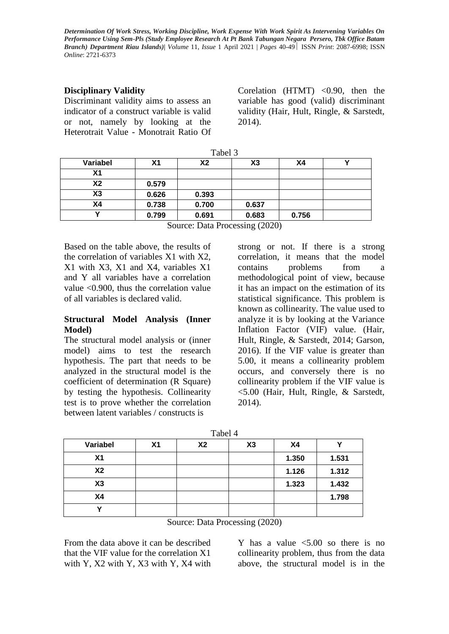### **Disciplinary Validity**

Discriminant validity aims to assess an indicator of a construct variable is valid or not, namely by looking at the Heterotrait Value - Monotrait Ratio Of Corelation (HTMT)  $< 0.90$ , then the variable has good (valid) discriminant validity (Hair, Hult, Ringle, & Sarstedt, 2014).

| Tabel 3        |       |                |       |       |  |  |
|----------------|-------|----------------|-------|-------|--|--|
| Variabel       | Х1    | X <sub>2</sub> | X3    | Χ4    |  |  |
| X <sub>1</sub> |       |                |       |       |  |  |
| X <sub>2</sub> | 0.579 |                |       |       |  |  |
| X3             | 0.626 | 0.393          |       |       |  |  |
| Χ4             | 0.738 | 0.700          | 0.637 |       |  |  |
|                | 0.799 | 0.691          | 0.683 | 0.756 |  |  |

Source: Data Processing (2020)

Based on the table above, the results of the correlation of variables X1 with X2, X1 with X3, X1 and X4, variables X1 and Y all variables have a correlation value <0.900, thus the correlation value of all variables is declared valid.

#### **Structural Model Analysis (Inner Model)**

The structural model analysis or (inner model) aims to test the research hypothesis. The part that needs to be analyzed in the structural model is the coefficient of determination (R Square) by testing the hypothesis. Collinearity test is to prove whether the correlation between latent variables / constructs is

strong or not. If there is a strong correlation, it means that the model contains problems from a methodological point of view, because it has an impact on the estimation of its statistical significance. This problem is known as collinearity. The value used to analyze it is by looking at the Variance Inflation Factor (VIF) value. (Hair, Hult, Ringle, & Sarstedt, 2014; Garson, 2016). If the VIF value is greater than 5.00, it means a collinearity problem occurs, and conversely there is no collinearity problem if the VIF value is <5.00 (Hair, Hult, Ringle, & Sarstedt, 2014).

| Variabel       | X <sub>1</sub> | <b>X2</b> | X3 | X <sub>4</sub> |       |
|----------------|----------------|-----------|----|----------------|-------|
| X <sub>1</sub> |                |           |    | 1.350          | 1.531 |
| X <sub>2</sub> |                |           |    | 1.126          | 1.312 |
| X3             |                |           |    | 1.323          | 1.432 |
| X <sub>4</sub> |                |           |    |                | 1.798 |
|                |                |           |    |                |       |

Source: Data Processing (2020)

From the data above it can be described that the VIF value for the correlation X1 with Y, X2 with Y, X3 with Y, X4 with

Y has a value  $\leq 5.00$  so there is no collinearity problem, thus from the data above, the structural model is in the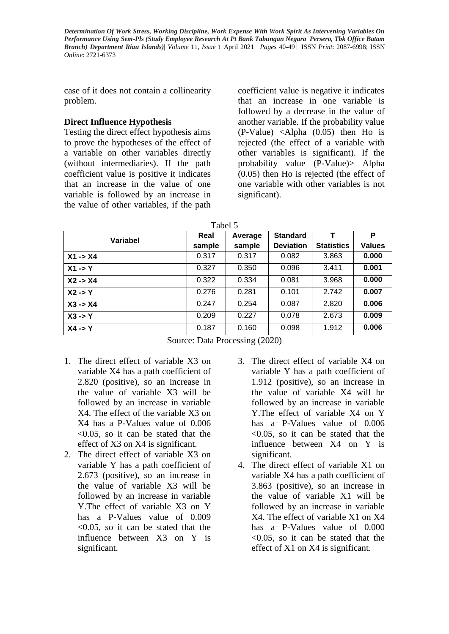case of it does not contain a collinearity problem.

### **Direct Influence Hypothesis**

Testing the direct effect hypothesis aims to prove the hypotheses of the effect of a variable on other variables directly (without intermediaries). If the path coefficient value is positive it indicates that an increase in the value of one variable is followed by an increase in the value of other variables, if the path

coefficient value is negative it indicates that an increase in one variable is followed by a decrease in the value of another variable. If the probability value (P-Value) <Alpha (0.05) then Ho is rejected (the effect of a variable with other variables is significant). If the probability value (P-Value)> Alpha (0.05) then Ho is rejected (the effect of one variable with other variables is not significant).

| an<br>ıe |  |
|----------|--|
|          |  |

| Variabel           | Real   | Average | <b>Standard</b>  |                   | P             |
|--------------------|--------|---------|------------------|-------------------|---------------|
|                    | sample | sample  | <b>Deviation</b> | <b>Statistics</b> | <b>Values</b> |
| $X1 - > X4$        | 0.317  | 0.317   | 0.082            | 3.863             | 0.000         |
| $X1 - Y$           | 0.327  | 0.350   | 0.096            | 3.411             | 0.001         |
| $X2 - > X4$        | 0.322  | 0.334   | 0.081            | 3.968             | 0.000         |
| $X2 \rightarrow Y$ | 0.276  | 0.281   | 0.101            | 2.742             | 0.007         |
| $X3 - > X4$        | 0.247  | 0.254   | 0.087            | 2.820             | 0.006         |
| $X3 \rightarrow Y$ | 0.209  | 0.227   | 0.078            | 2.673             | 0.009         |
| $X4 - Y$           | 0.187  | 0.160   | 0.098            | 1.912             | 0.006         |

Source: Data Processing (2020)

- 1. The direct effect of variable X3 on variable X4 has a path coefficient of 2.820 (positive), so an increase in the value of variable X3 will be followed by an increase in variable X4. The effect of the variable X3 on X4 has a P-Values value of 0.006 <0.05, so it can be stated that the effect of X3 on X4 is significant.
- 2. The direct effect of variable X3 on variable Y has a path coefficient of 2.673 (positive), so an increase in the value of variable X3 will be followed by an increase in variable Y.The effect of variable X3 on Y has a P-Values value of 0.009  $\leq 0.05$ , so it can be stated that the influence between X3 on Y is significant.
- 3. The direct effect of variable X4 on variable Y has a path coefficient of 1.912 (positive), so an increase in the value of variable X4 will be followed by an increase in variable Y.The effect of variable X4 on Y has a P-Values value of 0.006  $\leq 0.05$ , so it can be stated that the influence between X4 on Y is significant.
- 4. The direct effect of variable X1 on variable X4 has a path coefficient of 3.863 (positive), so an increase in the value of variable X1 will be followed by an increase in variable X4. The effect of variable X1 on X4 has a P-Values value of 0.000 <0.05, so it can be stated that the effect of X1 on X4 is significant.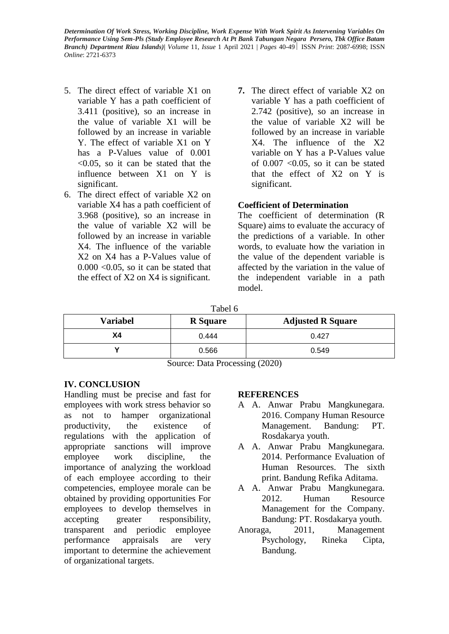- 5. The direct effect of variable X1 on variable Y has a path coefficient of 3.411 (positive), so an increase in the value of variable X1 will be followed by an increase in variable Y. The effect of variable X1 on Y has a P-Values value of  $0.001$ <0.05, so it can be stated that the influence between X1 on Y is significant.
- 6. The direct effect of variable X2 on variable X4 has a path coefficient of 3.968 (positive), so an increase in the value of variable X2 will be followed by an increase in variable X4. The influence of the variable X2 on X4 has a P-Values value of  $0.000 \le 0.05$ , so it can be stated that the effect of X2 on X4 is significant.
- **7.** The direct effect of variable X2 on variable Y has a path coefficient of 2.742 (positive), so an increase in the value of variable X2 will be followed by an increase in variable X4. The influence of the X2 variable on Y has a P-Values value of  $0.007$  <  $0.05$ , so it can be stated that the effect of X2 on Y is significant.

# **Coefficient of Determination**

The coefficient of determination (R Square) aims to evaluate the accuracy of the predictions of a variable. In other words, to evaluate how the variation in the value of the dependent variable is affected by the variation in the value of the independent variable in a path model.

Tabel 6

| <b>Variabel</b> | <b>R</b> Square | <b>Adjusted R Square</b> |
|-----------------|-----------------|--------------------------|
| Χ4              | 0.444           | 0.427                    |
|                 | 0.566           | 0.549                    |

Source: Data Processing (2020)

# **IV. CONCLUSION**

Handling must be precise and fast for employees with work stress behavior so as not to hamper organizational productivity, the existence of regulations with the application of appropriate sanctions will improve employee work discipline, the importance of analyzing the workload of each employee according to their competencies, employee morale can be obtained by providing opportunities For employees to develop themselves in accepting greater responsibility, transparent and periodic employee performance appraisals are very important to determine the achievement of organizational targets.

# **REFERENCES**

- A A. Anwar Prabu Mangkunegara. 2016. Company Human Resource Management. Bandung: PT. Rosdakarya youth.
- A A. Anwar Prabu Mangkunegara. 2014. Performance Evaluation of Human Resources. The sixth print. Bandung Refika Aditama.
- A A. Anwar Prabu Mangkunegara. 2012. Human Resource Management for the Company. Bandung: PT. Rosdakarya youth.
- Anoraga, 2011, Management Psychology, Rineka Cipta, Bandung.